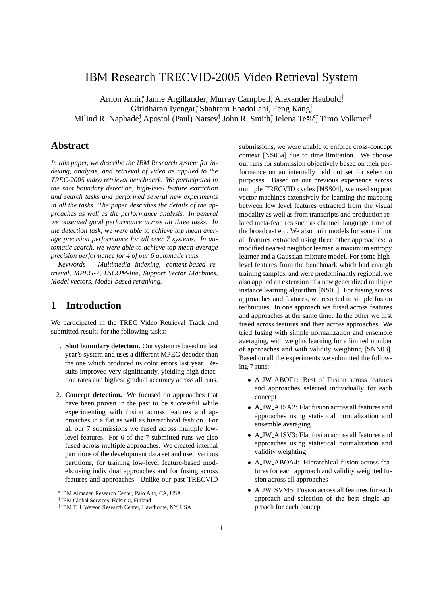# IBM Research TRECVID-2005 Video Retrieval System

Arnon Amir,<sup>\*</sup> Janne Argillander, <sup>†</sup> Murray Campbell<sup>‡</sup>, Alexander Haubold<sup>‡</sup>, Giridharan Iyengar, Shahram Ebadollahi‡ Feng Kang‡ Milind R. Naphade‡ Apostol (Paul) Natsev‡ John R. Smith‡ Jelena Teši㇠Timo Volkmer‡

## **Abstract**

*In this paper, we describe the IBM Research system for indexing, analysis, and retrieval of video as applied to the TREC-2005 video retrieval benchmark. We participated in the shot boundary detection, high-level feature extraction and search tasks and performed several new experiments in all the tasks. The paper describes the details of the approaches as well as the performance analysis. In general we observed good performance across all three tasks. In the detection task, we were able to achieve top mean average precision performance for all over 7 systems. In automatic search, we were able to achieve top mean average precision performance for 4 of our 6 automatic runs.*

*Keywords – Multimedia indexing, content-based retrieval, MPEG-7, LSCOM-lite, Support Vector Machines, Model vectors, Model-based reranking.*

# **1 Introduction**

We participated in the TREC Video Retrieval Track and submitted results for the following tasks:

- 1. **Shot boundary detection.** Our system is based on last year's system and uses a different MPEG decoder than the one which produced us color errors last year. Results improved very significantly, yielding high detection rates and highest gradual accuracy across all runs.
- 2. **Concept detection.** We focused on approaches that have been proven in the past to be successful while experimenting with fusion across features and approaches in a flat as well as hierarchical fashion. For all our 7 submissions we fused across multiple lowlevel features. For 6 of the 7 submitted runs we also fused across multiple approaches. We created internal partitions of the development data set and used various partitions, for training low-level feature-based models using individual approaches and for fusing across features and approaches. Unlike our past TRECVID

submissions, we were unable to enforce cross-concept context [NS03a] due to time limitation. We choose our runs for submission objectively based on their performance on an internally held out set for selection purposes. Based on our previous experience across multiple TRECVID cycles [NSS04], we used support vector machines extensively for learning the mapping between low level features extracted from the visual modality as well as from transcripts and production related meta-features such as channel, language, time of the broadcast etc. We also built models for some if not all features extracted using three other approaches: a modified nearest neighbor learner, a maximum entropy learner and a Gaussian mixture model. For some highlevel features from the benchmark which had enough training samples, and were predominantly regional, we also applied an extension of a new generalized multiple instance learning algorithm [NS05]. For fusing across approaches and features, we resorted to simple fusion techniques. In one approach we fused across features and approaches at the same time. In the other we first fused across features and then across approaches. We tried fusing with simple normalization and ensemble averaging, with weights learning for a limited number of approaches and with validity weighting [SNN03]. Based on all the experiments we submitted the following 7 runs:

- A JW ABOF1: Best of Fusion across features and approaches selected individually for each concept
- A JW A1SA2: Flat fusion across all features and approaches using statistical normalization and ensemble averaging
- A JW A1SV3: Flat fusion across all features and approaches using statistical normalization and validity weighting
- A JW ABOA4: Hierarchical fusion across features for each approach and validity weighted fusion across all approaches
- A JW SVM5: Fusion across all features for each approach and selection of the best single approach for each concept,

<sup>∗</sup>IBM Almaden Research Center, Palo Alto, CA, USA

<sup>†</sup> IBM Global Services, Helsinki, Finland

<sup>‡</sup> IBM T. J. Watson Research Center, Hawthorne, NY, USA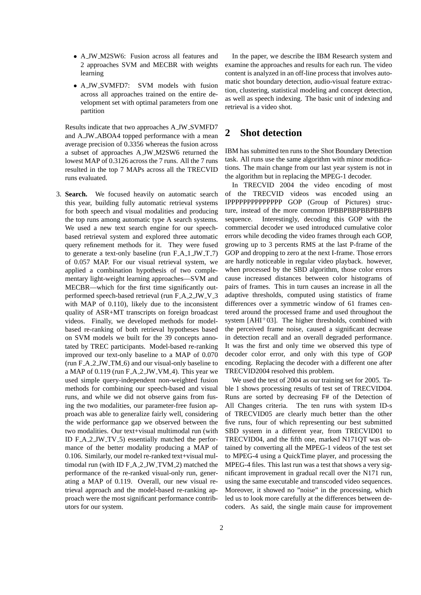- A JW M2SW6: Fusion across all features and 2 approaches SVM and MECBR with weights learning
- A JW SVMFD7: SVM models with fusion across all approaches trained on the entire development set with optimal parameters from one partition

Results indicate that two approaches A JW SVMFD7 and A JW ABOA4 topped performance with a mean average precision of 0.3356 whereas the fusion across a subset of approaches A JW M2SW6 returned the lowest MAP of 0.3126 across the 7 runs. All the 7 runs resulted in the top 7 MAPs across all the TRECVID runs evaluated.

3. **Search.** We focused heavily on automatic search this year, building fully automatic retrieval systems for both speech and visual modalities and producing the top runs among automatic type A search systems. We used a new text search engine for our speechbased retrieval system and explored three automatic query refinement methods for it. They were fused to generate a text-only baseline (run  $F.A.1JW.T.7$ ) of 0.057 MAP. For our visual retrieval system, we applied a combination hypothesis of two complementary light-weight learning approaches—SVM and MECBR—which for the first time significantly outperformed speech-based retrieval (run F A 2 JW V 3 with MAP of 0.110), likely due to the inconsistent quality of ASR+MT transcripts on foreign broadcast videos. Finally, we developed methods for modelbased re-ranking of both retrieval hypotheses based on SVM models we built for the 39 concepts annotated by TREC participants. Model-based re-ranking improved our text-only baseline to a MAP of 0.070 (run  $F.A.2$  JW $\_TM.6$ ) and our visual-only baseline to a MAP of 0.119 (run F\_A\_2\_JW\_VM\_4). This year we used simple query-independent non-weighted fusion methods for combining our speech-based and visual runs, and while we did not observe gains from fusing the two modalities, our parameter-free fusion approach was able to generalize fairly well, considering the wide performance gap we observed between the two modalities. Our text+visual multimodal run (with ID  $F_A_2_JW_TV_5$  essentially matched the performance of the better modality producing a MAP of 0.106. Similarly, our model re-ranked text+visual multimodal run (with ID F\_A\_2\_JW\_TVM\_2) matched the performance of the re-ranked visual-only run, generating a MAP of 0.119. Overall, our new visual retrieval approach and the model-based re-ranking approach were the most significant performance contributors for our system.

In the paper, we describe the IBM Research system and examine the approaches and results for each run. The video content is analyzed in an off-line process that involves automatic shot boundary detection, audio-visual feature extraction, clustering, statistical modeling and concept detection, as well as speech indexing. The basic unit of indexing and retrieval is a video shot.

## **2 Shot detection**

IBM has submitted ten runs to the Shot Boundary Detection task. All runs use the same algorithm with minor modifications. The main change from our last year system is not in the algorithm but in replacing the MPEG-1 decoder.

In TRECVID 2004 the video encoding of most of the TRECVID videos was encoded using an IPPPPPPPPPPPPPP GOP (Group of Pictures) structure, instead of the more common IPBBPBBPBBPBBPB sequence. Interestingly, decoding this GOP with the commercial decoder we used introduced cumulative color errors while decoding the video frames through each GOP, growing up to 3 percents RMS at the last P-frame of the GOP and dropping to zero at the next I-frame. Those errors are hardly noticeable in regular video playback. however, when processed by the SBD algorithm, those color errors cause increased distances between color histograms of pairs of frames. This in turn causes an increase in all the adaptive thresholds, computed using statistics of frame differences over a symmetric window of 61 frames centered around the processed frame and used throughout the system  $[AHI^+03]$ . The higher thresholds, combined with the perceived frame noise, caused a significant decrease in detection recall and an overall degraded performance. It was the first and only time we observed this type of decoder color error, and only with this type of GOP encoding. Replacing the decoder with a different one after TRECVID2004 resolved this problem.

We used the test of 2004 as our training set for 2005. Table 1 shows processing results of test set of TRECVID04. Runs are sorted by decreasing F# of the Detection of All Changes criteria. The ten runs with system ID-s of TRECVID05 are clearly much better than the other five runs, four of which representing our best submitted SBD system in a different year, from TRECVID01 to TRECVID04, and the fifth one, marked N171QT was obtained by converting all the MPEG-1 videos of the test set to MPEG-4 using a QuickTime player, and processing the MPEG-4 files. This last run was a test that shows a very significant improvement in gradual recall over the N171 run, using the same executable and transcoded video sequences. Moreover, it showed no "noise" in the processing, which led us to look more carefully at the differences between decoders. As said, the single main cause for improvement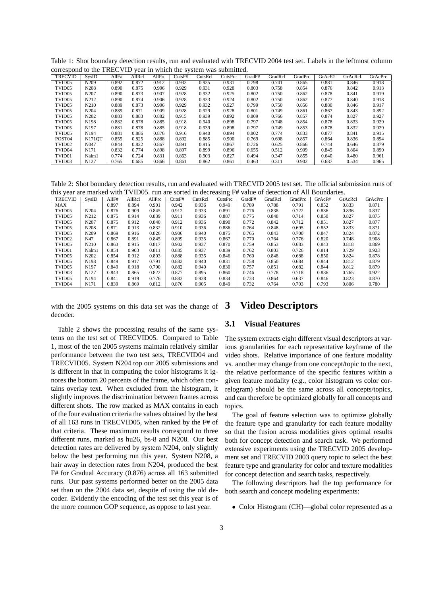| Table 1: Shot boundary detection results, run and evaluated with TRECVID 2004 test set. Labels in the leftmost column |  |  |  |
|-----------------------------------------------------------------------------------------------------------------------|--|--|--|
| correspond to the TRECVID year in which the system was submitted.                                                     |  |  |  |

| <b>TRECVID</b>     | SvsID            | AllF# | AllRcl | AllPrc | CutsF# | CutsRcl | CutsPrc | GradF# | GradRcl | GradPrc | GrAcF# | GrAcRcl | GrAcPrc |
|--------------------|------------------|-------|--------|--------|--------|---------|---------|--------|---------|---------|--------|---------|---------|
| TVID <sub>05</sub> | N <sub>209</sub> | 0.892 | 0.872  | 0.912  | 0.933  | 0.935   | 0.931   | 0.798  | 0.741   | 0.865   | 0.881  | 0.846   | 0.918   |
| TVID <sub>05</sub> | N <sub>208</sub> | 0.890 | 0.875  | 0.906  | 0.929  | 0.931   | 0.928   | 0.803  | 0.758   | 0.854   | 0.876  | 0.842   | 0.913   |
| TVID <sub>05</sub> | N207             | 0.890 | 0.873  | 0.907  | 0.928  | 0.932   | 0.925   | 0.802  | 0.750   | 0.862   | 0.878  | 0.841   | 0.919   |
| TVID <sub>05</sub> | N212             | 0.890 | 0.874  | 0.906  | 0.928  | 0.933   | 0.924   | 0.802  | 0.750   | 0.862   | 0.877  | 0.840   | 0.918   |
| TVID <sub>05</sub> | N210             | 0.889 | 0.873  | 0.906  | 0.929  | 0.932   | 0.927   | 0.799  | 0.750   | 0.856   | 0.880  | 0.846   | 0.917   |
| TVID <sub>05</sub> | N <sub>204</sub> | 0.889 | 0.871  | 0.909  | 0.928  | 0.929   | 0.928   | 0.801  | 0.749   | 0.861   | 0.867  | 0.843   | 0.892   |
| TVID <sub>05</sub> | N202             | 0.883 | 0.883  | 0.882  | 0.915  | 0.939   | 0.892   | 0.809  | 0.766   | 0.857   | 0.874  | 0.827   | 0.927   |
| TVID <sub>05</sub> | N <sub>198</sub> | 0.882 | 0.878  | 0.885  | 0.918  | 0.940   | 0.898   | 0.797  | 0.748   | 0.854   | 0.878  | 0.833   | 0.929   |
| TVID <sub>05</sub> | N <sub>197</sub> | 0.881 | 0.878  | 0.885  | 0.918  | 0.939   | 0.898   | 0.797  | 0.749   | 0.853   | 0.878  | 0.832   | 0.929   |
| TVID <sub>05</sub> | N194             | 0.881 | 0.886  | 0.876  | 0.916  | 0.940   | 0.894   | 0.802  | 0.774   | 0.833   | 0.877  | 0.841   | 0.915   |
| POST <sub>04</sub> | <b>N171OT</b>    | 0.855 | 0.825  | 0.888  | 0.892  | 0.885   | 0.900   | 0.769  | 0.698   | 0.857   | 0.864  | 0.836   | 0.894   |
| TVID <sub>02</sub> | N <sub>047</sub> | 0.844 | 0.822  | 0.867  | 0.891  | 0.915   | 0.867   | 0.726  | 0.625   | 0.866   | 0.744  | 0.646   | 0.879   |
| TVID04             | N171             | 0.832 | 0.774  | 0.898  | 0.897  | 0.899   | 0.896   | 0.655  | 0.512   | 0.909   | 0.845  | 0.804   | 0.890   |
| TVID01             | Nalm1            | 0.774 | 0.724  | 0.831  | 0.863  | 0.903   | 0.827   | 0.494  | 0.347   | 0.855   | 0.640  | 0.480   | 0.961   |
| TVID03             | N <sub>127</sub> | 0.765 | 0.685  | 0.866  | 0.861  | 0.862   | 0.861   | 0.463  | 0.311   | 0.902   | 0.687  | 0.534   | 0.965   |

Table 2: Shot boundary detection results, run and evaluated with TRECVID 2005 test set. The official submission runs of this year are marked with TVID05. run are sorted in decreasing F# value of detection of All Boundaries.

|                    |                  |       |        |        |        |         | $\check{~}$ |        |         |         |        |         |         |
|--------------------|------------------|-------|--------|--------|--------|---------|-------------|--------|---------|---------|--------|---------|---------|
| <b>TRECVID</b>     | <b>SysID</b>     | AllF# | AllRcl | AllPrc | CutsF# | CutsRcl | CutsPrc     | GradF# | GradRcl | GradPrc | GrAcF# | GrAcRcl | GrAcPrc |
| <b>MAX</b>         |                  | 0.897 | 0.894  | 0.901  | 0.942  | 0.936   | 0.949       | 0.789  | 0.788   | 0.791   | 0.852  | 0.833   | 0.871   |
| TVID05             | N <sub>204</sub> | 0.876 | 0.909  | 0.845  | 0.912  | 0.933   | 0.891       | 0.776  | 0.838   | 0.722   | 0.836  | 0.836   | 0.837   |
| TVID <sub>05</sub> | N212             | 0.875 | 0.914  | 0.839  | 0.911  | 0.936   | 0.887       | 0.775  | 0.848   | 0.714   | 0.850  | 0.827   | 0.875   |
| TVID <sub>05</sub> | N207             | 0.875 | 0.912  | 0.840  | 0.912  | 0.936   | 0.890       | 0.772  | 0.842   | 0.712   | 0.851  | 0.827   | 0.877   |
| TVID <sub>05</sub> | N <sub>208</sub> | 0.871 | 0.913  | 0.832  | 0.910  | 0.936   | 0.886       | 0.764  | 0.848   | 0.695   | 0.852  | 0.833   | 0.871   |
| TVID05             | N209             | 0.869 | 0.916  | 0.826  | 0.906  | 0.940   | 0.875       | 0.765  | 0.843   | 0.700   | 0.847  | 0.824   | 0.872   |
| TVID <sub>02</sub> | N47              | 0.867 | 0.891  | 0.845  | 0.899  | 0.935   | 0.867       | 0.770  | 0.764   | 0.776   | 0.820  | 0.748   | 0.908   |
| TVID <sub>05</sub> | N210             | 0.863 | 0.915  | 0.817  | 0.902  | 0.937   | 0.870       | 0.759  | 0.853   | 0.683   | 0.843  | 0.818   | 0.869   |
| TVID01             | Nalm1            | 0.854 | 0.903  | 0.811  | 0.885  | 0.937   | 0.839       | 0.762  | 0.803   | 0.726   | 0.814  | 0.729   | 0.923   |
| TVID <sub>05</sub> | N202             | 0.854 | 0.912  | 0.803  | 0.888  | 0.935   | 0.846       | 0.760  | 0.848   | 0.688   | 0.850  | 0.824   | 0.878   |
| TVID <sub>05</sub> | N198             | 0.849 | 0.917  | 0.791  | 0.882  | 0.940   | 0.831       | 0.758  | 0.850   | 0.684   | 0.844  | 0.812   | 0.879   |
| TVID <sub>05</sub> | N <sub>197</sub> | 0.849 | 0.918  | 0.790  | 0.882  | 0.940   | 0.830       | 0.757  | 0.851   | 0.682   | 0.844  | 0.812   | 0.879   |
| TVID <sub>03</sub> | N <sub>127</sub> | 0.843 | 0.865  | 0.822  | 0.877  | 0.895   | 0.860       | 0.746  | 0.778   | 0.718   | 0.836  | 0.765   | 0.922   |
| TVID <sub>05</sub> | N194             | 0.841 | 0.919  | 0.776  | 0.883  | 0.938   | 0.834       | 0.733  | 0.864   | 0.637   | 0.846  | 0.823   | 0.870   |
| TVID <sub>04</sub> | N171             | 0.839 | 0.869  | 0.812  | 0.876  | 0.905   | 0.849       | 0.732  | 0.764   | 0.703   | 0.793  | 0.806   | 0.780   |

with the 2005 systems on this data set was the change of decoder.

Table 2 shows the processing results of the same systems on the test set of TRECVID05. Compared to Table 1, most of the ten 2005 systems maintain relatively similar performance between the two test sets, TRECVID04 and TRECVID05. System N204 top our 2005 submissions and is different in that in computing the color histograms it ignores the bottom 20 percents of the frame, which often contains overlay text. When excluded from the histogram, it slightly improves the discrimination between frames across different shots. The row marked as MAX contains in each of the four evaluation criteria the values obtained by the best of all 163 runs in TRECVID05, when ranked by the F# of that criteria. These maximum results correspond to three different runs, marked as hu26, bs-8 and N208. Our best detection rates are delivered by system N204, only slightly below the best performing run this year. System N208, a hair away in detection rates from N204, produced the best F# for Gradual Accuracy (0.876) across all 163 submitted runs. Our past systems performed better on the 2005 data set than on the 2004 data set, despite of using the old decoder. Evidently the encoding of the test set this year is of the more common GOP sequence, as oppose to last year.

## **3 Video Descriptors**

## **3.1 Visual Features**

The system extracts eight different visual descriptors at various granularities for each representative keyframe of the video shots. Relative importance of one feature modality vs. another may change from one concept/topic to the next, the relative performance of the specific features within a given feature modality (e.g., color histogram vs color correlogram) should be the same across all concepts/topics, and can therefore be optimized globally for all concepts and topics.

The goal of feature selection was to optimize globally the feature type and granularity for each feature modality so that the fusion across modalities gives optimal results both for concept detection and search task. We performed extensive experiments using the TRECVID 2005 development set and TRECVID 2003 query topic to select the best feature type and granularity for color and texture modalities for concept detection and search tasks, respectively.

The following descriptors had the top performance for both search and concept modeling experiments:

• Color Histogram (CH)—global color represented as a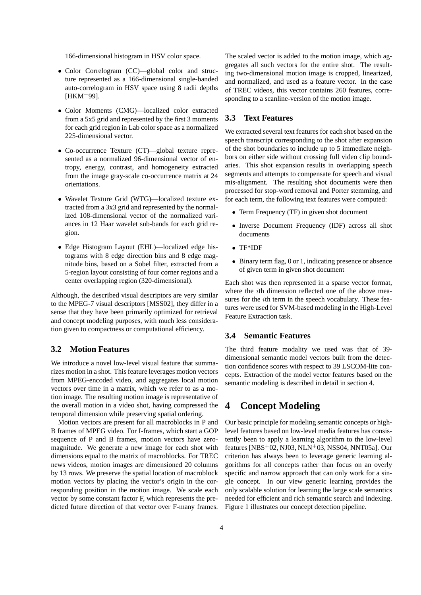166-dimensional histogram in HSV color space.

- Color Correlogram (CC)—global color and structure represented as a 166-dimensional single-banded auto-correlogram in HSV space using 8 radii depths  $[HKM+99]$ .
- Color Moments (CMG)—localized color extracted from a 5x5 grid and represented by the first 3 moments for each grid region in Lab color space as a normalized 225-dimensional vector.
- Co-occurrence Texture (CT)—global texture represented as a normalized 96-dimensional vector of entropy, energy, contrast, and homogeneity extracted from the image gray-scale co-occurrence matrix at 24 orientations.
- Wavelet Texture Grid (WTG)—localized texture extracted from a 3x3 grid and represented by the normalized 108-dimensional vector of the normalized variances in 12 Haar wavelet sub-bands for each grid region.
- Edge Histogram Layout (EHL)—localized edge histograms with 8 edge direction bins and 8 edge magnitude bins, based on a Sobel filter, extracted from a 5-region layout consisting of four corner regions and a center overlapping region (320-dimensional).

Although, the described visual descriptors are very similar to the MPEG-7 visual descriptors [MSS02], they differ in a sense that they have been primarily optimized for retrieval and concept modeling purposes, with much less consideration given to compactness or computational efficiency.

## **3.2 Motion Features**

We introduce a novel low-level visual feature that summarizes motion in a shot. This feature leverages motion vectors from MPEG-encoded video, and aggregates local motion vectors over time in a matrix, which we refer to as a motion image. The resulting motion image is representative of the overall motion in a video shot, having compressed the temporal dimension while preserving spatial ordering.

Motion vectors are present for all macroblocks in P and B frames of MPEG video. For I-frames, which start a GOP sequence of P and B frames, motion vectors have zeromagnitude. We generate a new image for each shot with dimensions equal to the matrix of macroblocks. For TREC news videos, motion images are dimensioned 20 columns by 13 rows. We preserve the spatial location of macroblock motion vectors by placing the vector's origin in the corresponding position in the motion image. We scale each vector by some constant factor F, which represents the predicted future direction of that vector over F-many frames. The scaled vector is added to the motion image, which aggregates all such vectors for the entire shot. The resulting two-dimensional motion image is cropped, linearized, and normalized, and used as a feature vector. In the case of TREC videos, this vector contains 260 features, corresponding to a scanline-version of the motion image.

## **3.3 Text Features**

We extracted several text features for each shot based on the speech transcript corresponding to the shot after expansion of the shot boundaries to include up to 5 immediate neighbors on either side without crossing full video clip boundaries. This shot expansion results in overlapping speech segments and attempts to compensate for speech and visual mis-alignment. The resulting shot documents were then processed for stop-word removal and Porter stemming, and for each term, the following text features were computed:

- Term Frequency (TF) in given shot document
- Inverse Document Frequency (IDF) across all shot documents
- TF\*IDF
- Binary term flag, 0 or 1, indicating presence or absence of given term in given shot document

Each shot was then represented in a sparse vector format, where the ith dimension reflected one of the above measures for the ith term in the speech vocabulary. These features were used for SVM-based modeling in the High-Level Feature Extraction task.

## **3.4 Semantic Features**

The third feature modality we used was that of 39 dimensional semantic model vectors built from the detection confidence scores with respect to 39 LSCOM-lite concepts. Extraction of the model vector features based on the semantic modeling is described in detail in section 4.

## **4 Concept Modeling**

Our basic principle for modeling semantic concepts or highlevel features based on low-level media features has consistently been to apply a learning algorithm to the low-level features [NBS<sup>+</sup>02, NJ03, NLN<sup>+</sup>03, NSS04, NNT05a]. Our criterion has always been to leverage generic learning algorithms for all concepts rather than focus on an overly specific and narrow approach that can only work for a single concept. In our view generic learning provides the only scalable solution for learning the large scale semantics needed for efficient and rich semantic search and indexing. Figure 1 illustrates our concept detection pipeline.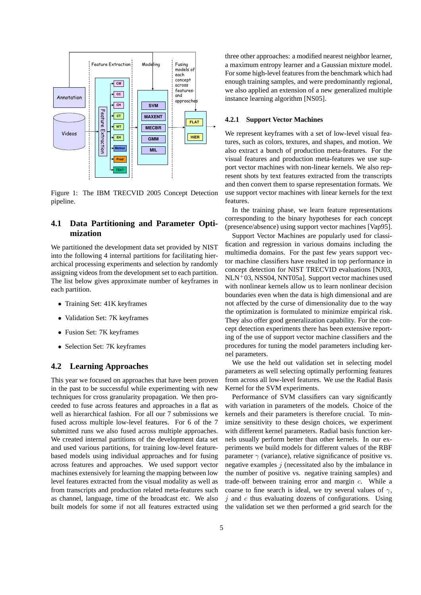

Figure 1: The IBM TRECVID 2005 Concept Detection pipeline.

## **4.1 Data Partitioning and Parameter Optimization**

We partitioned the development data set provided by NIST into the following 4 internal partitions for facilitating hierarchical processing experiments and selection by randomly assigning videos from the development set to each partition. The list below gives approximate number of keyframes in each partition.

- Training Set: 41K keyframes
- Validation Set: 7K keyframes
- Fusion Set: 7K keyframes
- Selection Set: 7K keyframes

### **4.2 Learning Approaches**

This year we focused on approaches that have been proven in the past to be successful while experimenting with new techniques for cross granularity propagation. We then proceeded to fuse across features and approaches in a flat as well as hierarchical fashion. For all our 7 submissions we fused across multiple low-level features. For 6 of the 7 submitted runs we also fused across multiple approaches. We created internal partitions of the development data set and used various partitions, for training low-level featurebased models using individual approaches and for fusing across features and approaches. We used support vector machines extensively for learning the mapping between low level features extracted from the visual modality as well as from transcripts and production related meta-features such as channel, language, time of the broadcast etc. We also built models for some if not all features extracted using three other approaches: a modified nearest neighbor learner, a maximum entropy learner and a Gaussian mixture model. For some high-level features from the benchmark which had enough training samples, and were predominantly regional, we also applied an extension of a new generalized multiple instance learning algorithm [NS05].

### **4.2.1 Support Vector Machines**

We represent keyframes with a set of low-level visual features, such as colors, textures, and shapes, and motion. We also extract a bunch of production meta-features. For the visual features and production meta-features we use support vector machines with non-linear kernels. We also represent shots by text features extracted from the transcripts and then convert them to sparse representation formats. We use support vector machines with linear kernels for the text features.

In the training phase, we learn feature representations corresponding to the binary hypotheses for each concept (presence/absence) using support vector machines [Vap95].

Support Vector Machines are popularly used for classification and regression in various domains including the multimedia domains. For the past few years support vector machine classifiers have resulted in top performance in concept detection for NIST TRECVID evaluations [NJ03,  $NLN<sup>+</sup>03, NSS04, NNT05a$ . Support vector machines used with nonlinear kernels allow us to learn nonlinear decision boundaries even when the data is high dimensional and are not affected by the curse of dimensionality due to the way the optimization is formulated to minimize empirical risk. They also offer good generalization capability. For the concept detection experiments there has been extensive reporting of the use of support vector machine classifiers and the procedures for tuning the model parameters including kernel parameters.

We use the held out validation set in selecting model parameters as well selecting optimally performing features from across all low-level features. We use the Radial Basis Kernel for the SVM experiments.

Performance of SVM classifiers can vary significantly with variation in parameters of the models. Choice of the kernels and their parameters is therefore crucial. To minimize sensitivity to these design choices, we experiment with different kernel parameters. Radial basis function kernels usually perform better than other kernels. In our experiments we build models for different values of the RBF parameter  $\gamma$  (variance), relative significance of positive vs. negative examples  $j$  (necessitated also by the imbalance in the number of positive vs. negative training samples) and trade-off between training error and margin c. While a coarse to fine search is ideal, we try several values of  $\gamma$ ,  $j$  and  $c$  thus evaluating dozens of configurations. Using the validation set we then performed a grid search for the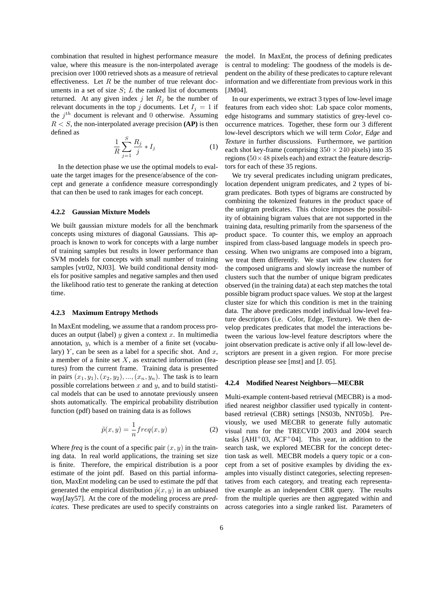combination that resulted in highest performance measure value, where this measure is the non-interpolated average precision over 1000 retrieved shots as a measure of retrieval effectiveness. Let  $R$  be the number of true relevant documents in a set of size  $S$ ;  $L$  the ranked list of documents returned. At any given index j let  $R_j$  be the number of relevant documents in the top j documents. Let  $I_i = 1$  if the  $j^{th}$  document is relevant and 0 otherwise. Assuming  $R < S$ , the non-interpolated average precision **(AP)** is then defined as

$$
\frac{1}{R}\sum_{j=1}^{S}\frac{R_j}{j} * I_j \tag{1}
$$

In the detection phase we use the optimal models to evaluate the target images for the presence/absence of the concept and generate a confidence measure correspondingly that can then be used to rank images for each concept.

#### **4.2.2 Gaussian Mixture Models**

We built gaussian mixture models for all the benchmark concepts using mixtures of diagonal Gaussians. This approach is known to work for concepts with a large number of training samples but results in lower performance than SVM models for concepts with small number of training samples [vtr02, NJ03]. We build conditional density models for positive samples and negative samples and then used the likelihood ratio test to generate the ranking at detection time.

#### **4.2.3 Maximum Entropy Methods**

In MaxEnt modeling, we assume that a random process produces an output (label)  $y$  given a context  $x$ . In multimedia annotation, y, which is a member of a finite set (vocabulary)  $Y$ , can be seen as a label for a specific shot. And  $x$ , a member of a finite set  $X$ , as extracted information (features) from the current frame. Training data is presented in pairs  $(x_1, y_1), (x_2, y_2), ..., (x_n, y_n)$ . The task is to learn possible correlations between  $x$  and  $y$ , and to build statistical models that can be used to annotate previously unseen shots automatically. The empirical probability distribution function (pdf) based on training data is as follows

$$
\tilde{p}(x,y) = \frac{1}{n} freq(x,y)
$$
\n(2)

Where *freq* is the count of a specific pair  $(x, y)$  in the training data. In real world applications, the training set size is finite. Therefore, the empirical distribution is a poor estimate of the joint pdf. Based on this partial information, MaxEnt modeling can be used to estimate the pdf that generated the empirical distribution  $\tilde{p}(x, y)$  in an unbiased way[Jay57]. At the core of the modeling process are *predicates*. These predicates are used to specify constraints on the model. In MaxEnt, the process of defining predicates is central to modeling: The goodness of the models is dependent on the ability of these predicates to capture relevant information and we differentiate from previous work in this [JM04].

In our experiments, we extract 3 types of low-level image features from each video shot: Lab space color moments, edge histograms and summary statistics of grey-level cooccurrence matrices. Together, these form our 3 different low-level descriptors which we will term *Color*, *Edge* and *Texture* in further discussions. Furthermore, we partition each shot key-frame (comprising  $350 \times 240$  pixels) into 35 regions ( $50 \times 48$  pixels each) and extract the feature descriptors for each of these 35 regions.

We try several predicates including unigram predicates, location dependent unigram predicates, and 2 types of bigram predicates. Both types of bigrams are constructed by combining the tokenized features in the product space of the unigram predicates. This choice imposes the possibility of obtaining bigram values that are not supported in the training data, resulting primarily from the sparseness of the product space. To counter this, we employ an approach inspired from class-based language models in speech processing. When two unigrams are composed into a bigram, we treat them differently. We start with few clusters for the composed unigrams and slowly increase the number of clusters such that the number of unique bigram predicates observed (in the training data) at each step matches the total possible bigram product space values. We stop at the largest cluster size for which this condition is met in the training data. The above predicates model individual low-level feature descriptors (i.e. Color, Edge, Texture). We then develop predicates predicates that model the interactions between the various low-level feature descriptors where the joint observation predicate is active only if all low-level descriptors are present in a given region. For more precise description please see [mst] and [J. 05].

#### **4.2.4 Modified Nearest Neighbors—MECBR**

Multi-example content-based retrieval (MECBR) is a modified nearest neighbor classifier used typically in contentbased retrieval (CBR) settings [NS03b, NNT05b]. Previously, we used MECBR to generate fully automatic visual runs for the TRECVID 2003 and 2004 search tasks  $[AHI<sup>+</sup>03, ACF<sup>+</sup>04]$ . This year, in addition to the search task, we explored MECBR for the concept detection task as well. MECBR models a query topic or a concept from a set of positive examples by dividing the examples into visually distinct categories, selecting representatives from each category, and treating each representative example as an independent CBR query. The results from the multiple queries are then aggregated within and across categories into a single ranked list. Parameters of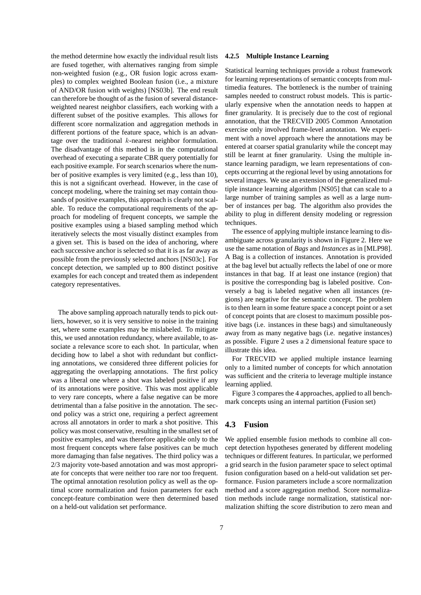the method determine how exactly the individual result lists are fused together, with alternatives ranging from simple non-weighted fusion (e.g., OR fusion logic across examples) to complex weighted Boolean fusion (i.e., a mixture of AND/OR fusion with weights) [NS03b]. The end result can therefore be thought of as the fusion of several distanceweighted nearest neighbor classifiers, each working with a different subset of the positive examples. This allows for different score normalization and aggregation methods in different portions of the feature space, which is an advantage over the traditional k-nearest neighbor formulation. The disadvantage of this method is in the computational overhead of executing a separate CBR query potentially for each positive example. For search scenarios where the number of positive examples is very limited (e.g., less than 10), this is not a significant overhead. However, in the case of concept modeling, where the training set may contain thousands of positive examples, this approach is clearly not scalable. To reduce the computational requirements of the approach for modeling of frequent concepts, we sample the positive examples using a biased sampling method which iteratively selects the most visually distinct examples from a given set. This is based on the idea of anchoring, where each successive anchor is selected so that it is as far away as possible from the previously selected anchors [NS03c]. For concept detection, we sampled up to 800 distinct positive examples for each concept and treated them as independent category representatives.

The above sampling approach naturally tends to pick outliers, however, so it is very sensitive to noise in the training set, where some examples may be mislabeled. To mitigate this, we used annotation redundancy, where available, to associate a relevance score to each shot. In particular, when deciding how to label a shot with redundant but conflicting annotations, we considered three different policies for aggregating the overlapping annotations. The first policy was a liberal one where a shot was labeled positive if any of its annotations were positive. This was most applicable to very rare concepts, where a false negative can be more detrimental than a false positive in the annotation. The second policy was a strict one, requiring a perfect agreement across all annotators in order to mark a shot positive. This policy was most conservative, resulting in the smallest set of positive examples, and was therefore applicable only to the most frequent concepts where false positives can be much more damaging than false negatives. The third policy was a 2/3 majority vote-based annotation and was most appropriate for concepts that were neither too rare nor too frequent. The optimal annotation resolution policy as well as the optimal score normalization and fusion parameters for each concept-feature combination were then determined based on a held-out validation set performance.

#### **4.2.5 Multiple Instance Learning**

Statistical learning techniques provide a robust framework for learning representations of semantic concepts from multimedia features. The bottleneck is the number of training samples needed to construct robust models. This is particularly expensive when the annotation needs to happen at finer granularity. It is precisely due to the cost of regional annotation, that the TRECVID 2005 Common Annotation exercise only involved frame-level annotation. We experiment with a novel approach where the annotations may be entered at coarser spatial granularity while the concept may still be learnt at finer granularity. Using the multiple instance learning paradigm, we learn representations of concepts occurring at the regional level by using annotations for several images. We use an extension of the generalized multiple instance learning algorithm [NS05] that can scale to a large number of training samples as well as a large number of instances per bag. The algorithm also provides the ability to plug in different density modeling or regression techniques.

The essence of applying multiple instance learning to disambiguate across granularity is shown in Figure 2. Here we use the same notation of *Bags* and *Instances* as in [MLP98]. A Bag is a collection of instances. Annotation is provided at the bag level but actually reflects the label of one or more instances in that bag. If at least one instance (region) that is positive the corresponding bag is labeled positive. Conversely a bag is labeled negative when all instances (regions) are negative for the semantic concept. The problem is to then learn in some feature space a concept point or a set of concept points that are closest to maximum possible positive bags (i.e. instances in these bags) and simultaneously away from as many negative bags (i.e. negative instances) as possible. Figure 2 uses a 2 dimensional feature space to illustrate this idea.

For TRECVID we applied multiple instance learning only to a limited number of concepts for which annotation was sufficient and the criteria to leverage multiple instance learning applied.

Figure 3 compares the 4 approaches, applied to all benchmark concepts using an internal partition (Fusion set)

### **4.3 Fusion**

We applied ensemble fusion methods to combine all concept detection hypotheses generated by different modeling techniques or different features. In particular, we performed a grid search in the fusion parameter space to select optimal fusion configuration based on a held-out validation set performance. Fusion parameters include a score normalization method and a score aggregation method. Score normalization methods include range normalization, statistical normalization shifting the score distribution to zero mean and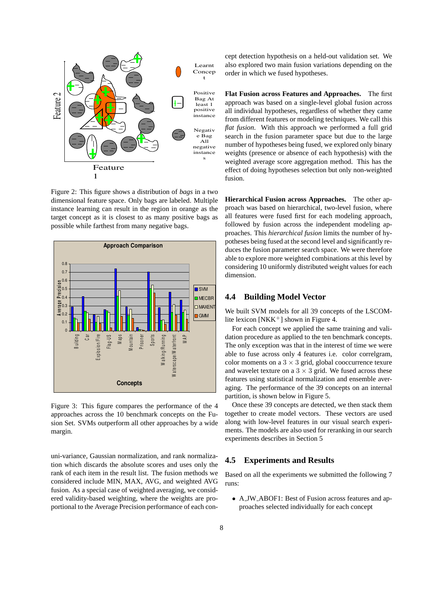

Figure 2: This figure shows a distribution of *bags* in a two dimensional feature space. Only bags are labeled. Multiple instance learning can result in the region in orange as the target concept as it is closest to as many positive bags as possible while farthest from many negative bags.



Figure 3: This figure compares the performance of the 4 approaches across the 10 benchmark concepts on the Fusion Set. SVMs outperform all other approaches by a wide margin.

uni-variance, Gaussian normalization, and rank normalization which discards the absolute scores and uses only the rank of each item in the result list. The fusion methods we considered include MIN, MAX, AVG, and weighted AVG fusion. As a special case of weighted averaging, we considered validity-based weighting, where the weights are proportional to the Average Precision performance of each concept detection hypothesis on a held-out validation set. We also explored two main fusion variations depending on the order in which we fused hypotheses.

**Flat Fusion across Features and Approaches.** The first approach was based on a single-level global fusion across all individual hypotheses, regardless of whether they came from different features or modeling techniques. We call this *flat fusion*. With this approach we performed a full grid search in the fusion parameter space but due to the large number of hypotheses being fused, we explored only binary weights (presence or absence of each hypothesis) with the weighted average score aggregation method. This has the effect of doing hypotheses selection but only non-weighted fusion.

**Hierarchical Fusion across Approaches.** The other approach was based on hierarchical, two-level fusion, where all features were fused first for each modeling approach, followed by fusion across the independent modeling approaches. This *hierarchical fusion* limits the number of hypotheses being fused at the second level and significantly reduces the fusion parameter search space. We were therefore able to explore more weighted combinations at this level by considering 10 uniformly distributed weight values for each dimension.

## **4.4 Building Model Vector**

We built SVM models for all 39 concepts of the LSCOMlite lexicon [NKK<sup>+</sup>] shown in Figure 4.

For each concept we applied the same training and validation procedure as applied to the ten benchmark concepts. The only exception was that in the interest of time we were able to fuse across only 4 features i.e. color correlgram, color moments on a  $3 \times 3$  grid, global cooccurrence texure and wavelet texture on a  $3 \times 3$  grid. We fused across these features using statistical normalization and ensemble averaging. The performance of the 39 concepts on an internal partition, is shown below in Figure 5.

Once these 39 concepts are detected, we then stack them together to create model vectors. These vectors are used along with low-level features in our visual search experiments. The models are also used for reranking in our search experiments describes in Section 5

## **4.5 Experiments and Results**

Based on all the experiments we submitted the following 7 runs:

• A JW ABOF1: Best of Fusion across features and approaches selected individually for each concept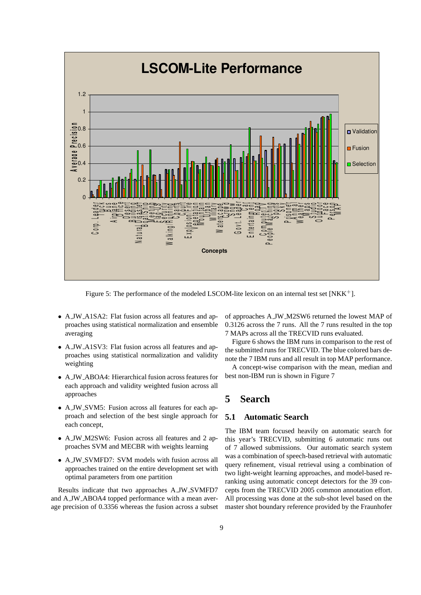

Figure 5: The performance of the modeled LSCOM-lite lexicon on an internal test set [NKK<sup>+</sup>].

- A JW A1SA2: Flat fusion across all features and approaches using statistical normalization and ensemble averaging
- A JW A1SV3: Flat fusion across all features and approaches using statistical normalization and validity weighting
- A JW ABOA4: Hierarchical fusion across features for each approach and validity weighted fusion across all approaches
- A JW SVM5: Fusion across all features for each approach and selection of the best single approach for each concept,
- A JW M2SW6: Fusion across all features and 2 approaches SVM and MECBR with weights learning
- A JW SVMFD7: SVM models with fusion across all approaches trained on the entire development set with optimal parameters from one partition

Results indicate that two approaches A JW SVMFD7 and A JW ABOA4 topped performance with a mean average precision of 0.3356 whereas the fusion across a subset of approaches A JW M2SW6 returned the lowest MAP of 0.3126 across the 7 runs. All the 7 runs resulted in the top 7 MAPs across all the TRECVID runs evaluated.

Figure 6 shows the IBM runs in comparison to the rest of the submitted runs for TRECVID. The blue colored bars denote the 7 IBM runs and all result in top MAP performance.

A concept-wise comparison with the mean, median and best non-IBM run is shown in Figure 7

## **5 Search**

## **5.1 Automatic Search**

The IBM team focused heavily on automatic search for this year's TRECVID, submitting 6 automatic runs out of 7 allowed submissions. Our automatic search system was a combination of speech-based retrieval with automatic query refinement, visual retrieval using a combination of two light-weight learning approaches, and model-based reranking using automatic concept detectors for the 39 concepts from the TRECVID 2005 common annotation effort. All processing was done at the sub-shot level based on the master shot boundary reference provided by the Fraunhofer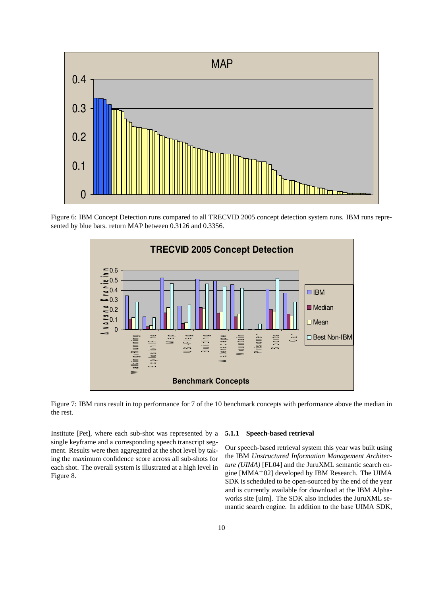

Figure 6: IBM Concept Detection runs compared to all TRECVID 2005 concept detection system runs. IBM runs represented by blue bars. return MAP between 0.3126 and 0.3356.



Figure 7: IBM runs result in top performance for 7 of the 10 benchmark concepts with performance above the median in the rest.

Institute [Pet], where each sub-shot was represented by a single keyframe and a corresponding speech transcript segment. Results were then aggregated at the shot level by taking the maximum confidence score across all sub-shots for each shot. The overall system is illustrated at a high level in Figure 8.

#### **5.1.1 Speech-based retrieval**

Our speech-based retrieval system this year was built using the IBM *Unstructured Information Management Architecture (UIMA)* [FL04] and the JuruXML semantic search engine  $[MMA<sup>+</sup>02]$  developed by IBM Research. The UIMA SDK is scheduled to be open-sourced by the end of the year and is currently available for download at the IBM Alphaworks site [uim]. The SDK also includes the JuruXML semantic search engine. In addition to the base UIMA SDK,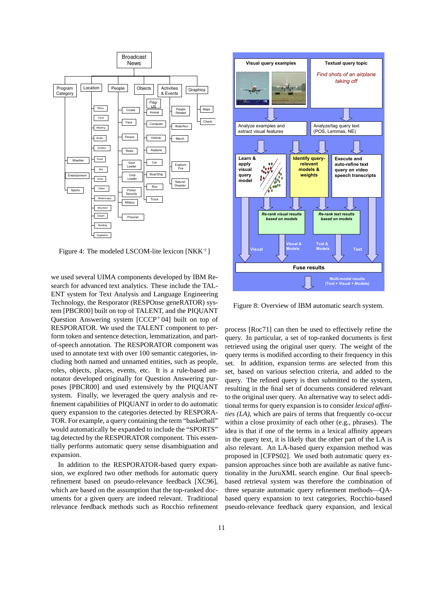

Figure 4: The modeled LSCOM-lite lexicon  $[NKK^+]$ 

we used several UIMA components developed by IBM Research for advanced text analytics. These include the TAL-ENT system for Text Analysis and Language Engineering Technology, the Resporator (RESPOnse geneRATOR) system [PBCR00] built on top of TALENT, and the PIQUANT Question Answering system  $[CCCP<sup>+</sup>04]$  built on top of RESPORATOR. We used the TALENT component to perform token and sentence detection, lemmatization, and partof-speech annotation. The RESPORATOR component was used to annotate text with over 100 semantic categories, including both named and unnamed entities, such as people, roles, objects, places, events, etc. It is a rule-based annotator developed originally for Question Answering purposes [PBCR00] and used extensively by the PIQUANT system. Finally, we leveraged the query analysis and refinement capabilities of PIQUANT in order to do automatic query expansion to the categories detected by RESPORA-TOR. For example, a query containing the term "basketball" would automatically be expanded to include the "SPORTS" tag detected by the RESPORATOR component. This essentially performs automatic query sense disambiguation and expansion.

In addition to the RESPORATOR-based query expansion, we explored two other methods for automatic query refinement based on pseudo-relevance feedback [XC96], which are based on the assumption that the top-ranked documents for a given query are indeed relevant. Traditional relevance feedback methods such as Rocchio refinement



Figure 8: Overview of IBM automatic search system.

process [Roc71] can then be used to effectively refine the query. In particular, a set of top-ranked documents is first retrieved using the original user query. The weight of the query terms is modified according to their frequency in this set. In addition, expansion terms are selected from this set, based on various selection criteria, and added to the query. The refined query is then submitted to the system, resulting in the final set of documents considered relevant to the original user query. An alternative way to select additional terms for query expansion is to consider *lexical affinities (LA)*, which are pairs of terms that frequently co-occur within a close proximity of each other (e.g., phrases). The idea is that if one of the terms in a lexical affinity appears in the query text, it is likely that the other part of the LA is also relevant. An LA-based query expansion method was proposed in [CFPS02]. We used both automatic query expansion approaches since both are available as native functionality in the JuruXML search engine. Our final speechbased retrieval system was therefore the combination of three separate automatic query refinement methods—QAbased query expansion to text categories, Rocchio-based pseudo-relevance feedback query expansion, and lexical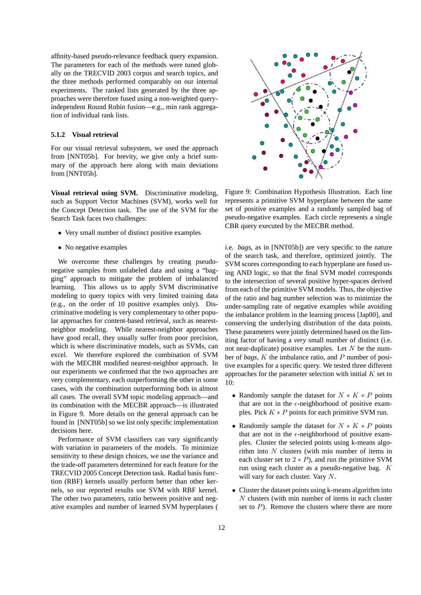affinity-based pseudo-relevance feedback query expansion. The parameters for each of the methods were tuned globally on the TRECVID 2003 corpus and search topics, and the three methods performed comparably on our internal experiments. The ranked lists generated by the three approaches were therefore fused using a non-weighted queryindependent Round Robin fusion—e.g., min rank aggregation of individual rank lists.

### **5.1.2 Visual retrieval**

For our visual retrieval subsystem, we used the approach from [NNT05b]. For brevity, we give only a brief summary of the approach here along with main deviations from [NNT05b].

**Visual retrieval using SVM.** Discriminative modeling, such as Support Vector Machines (SVM), works well for the Concept Detection task. The use of the SVM for the Search Task faces two challenges:

- Very small number of distinct positive examples
- No negative examples

We overcome these challenges by creating pseudonegative samples from unlabeled data and using a "bagging" approach to mitigate the problem of imbalanced learning. This allows us to apply SVM discriminative modeling to query topics with very limited training data (e.g., on the order of 10 positive examples only). Discriminative modeling is very complementary to other popular approaches for content-based retrieval, such as nearestneighbor modeling. While nearest-neighbor approaches have good recall, they usually suffer from poor precision, which is where discriminative models, such as SVMs, can excel. We therefore explored the combination of SVM with the MECBR modified nearest-neighbor approach. In our experiments we confirmed that the two approaches are very complementary, each outperforming the other in some cases, with the combination outperforming both in almost all cases. The overall SVM topic modeling approach—and its combination with the MECBR approach—is illustrated in Figure 9. More details on the general approach can be found in [NNT05b] so we list only specific implementation decisions here.

Performance of SVM classifiers can vary significantly with variation in parameters of the models. To minimize sensitivity to these design choices, we use the variance and the trade-off parameters determined for each feature for the TRECVID 2005 Concept Detection task. Radial basis function (RBF) kernels usually perform better than other kernels, so our reported results use SVM with RBF kernel. The other two parameters, ratio between positive and negative examples and number of learned SVM hyperplanes (



Figure 9: Combination Hypothesis Illustration. Each line represents a primitive SVM hyperplane between the same set of positive examples and a randomly sampled bag of pseudo-negative examples. Each circle represents a single CBR query executed by the MECBR method.

i.e. *bags*, as in [NNT05b]) are very specific to the nature of the search task, and therefore, optimized jointly. The SVM scores corresponding to each hyperplane are fused using AND logic, so that the final SVM model corresponds to the intersection of several positive hyper-spaces derived from each of the primitive SVM models. Thus, the objective of the ratio and bag number selection was to minimize the under-sampling rate of negative examples while avoiding the imbalance problem in the learning process [Jap00], and conserving the underlying distribution of the data points. These parameters were jointly determined based on the limiting factor of having a *very* small number of distinct (i.e. not near-duplicate) positive examples. Let  $N$  be the number of *bags*, K the imbalance ratio, and P number of positive examples for a specific query. We tested three different approaches for the parameter selection with initial  $K$  set to 10:

- Randomly sample the dataset for  $N * K * P$  points that are not in the  $\epsilon$ -neighborhood of positive examples. Pick  $K * P$  points for each primitive SVM run.
- Randomly sample the dataset for  $N * K * P$  points that are not in the  $\epsilon$ -neighborhood of positive examples. Cluster the selected points using k-means algorithm into  $N$  clusters (with min number of items in each cluster set to  $2 * P$ ), and run the primitive SVM run using each cluster as a pseudo-negative bag. K will vary for each cluster. Vary N.
- Cluster the dataset points using k-means algorithm into N clusters (with min number of items in each cluster set to  $P$ ). Remove the clusters where there are more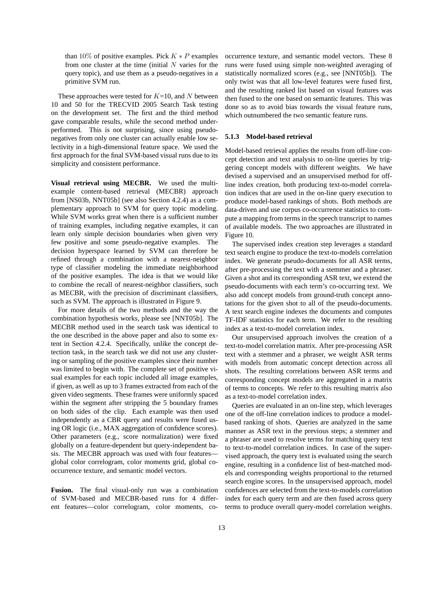than 10% of positive examples. Pick  $K \times P$  examples from one cluster at the time (initial  $N$  varies for the query topic), and use them as a pseudo-negatives in a primitive SVM run.

These approaches were tested for  $K=10$ , and N between 10 and 50 for the TRECVID 2005 Search Task testing on the development set. The first and the third method gave comparable results, while the second method underperformed. This is not surprising, since using pseudonegatives from only one cluster can actually enable low selectivity in a high-dimensional feature space. We used the first approach for the final SVM-based visual runs due to its simplicity and consistent performance.

**Visual retrieval using MECBR.** We used the multiexample content-based retrieval (MECBR) approach from [NS03b, NNT05b] (see also Section 4.2.4) as a complementary approach to SVM for query topic modeling. While SVM works great when there is a sufficient number of training examples, including negative examples, it can learn only simple decision boundaries when given very few positive and some pseudo-negative examples. The decision hyperspace learned by SVM can therefore be refined through a combination with a nearest-neighbor type of classifier modeling the immediate neighborhood of the positive examples. The idea is that we would like to combine the recall of nearest-neighbor classifiers, such as MECBR, with the precision of discriminant classifiers, such as SVM. The approach is illustrated in Figure 9.

For more details of the two methods and the way the combination hypothesis works, please see [NNT05b]. The MECBR method used in the search task was identical to the one described in the above paper and also to some extent in Section 4.2.4. Specifically, unlike the concept detection task, in the search task we did not use any clustering or sampling of the positive examples since their number was limited to begin with. The complete set of positive visual examples for each topic included all image examples, if given, as well as up to 3 frames extracted from each of the given video segments. These frames were uniformly spaced within the segment after stripping the 5 boundary frames on both sides of the clip. Each example was then used independently as a CBR query and results were fused using OR logic (i.e., MAX aggregation of confidence scores). Other parameters (e.g., score normalization) were fixed globally on a feature-dependent but query-independent basis. The MECBR approach was used with four features global color correlogram, color moments grid, global cooccurrence texture, and semantic model vectors.

**Fusion.** The final visual-only run was a combination of SVM-based and MECBR-based runs for 4 different features—color correlogram, color moments, cooccurrence texture, and semantic model vectors. These 8 runs were fused using simple non-weighted averaging of statistically normalized scores (e.g., see [NNT05b]). The only twist was that all low-level features were fused first, and the resulting ranked list based on visual features was then fused to the one based on semantic features. This was done so as to avoid bias towards the visual feature runs, which outnumbered the two semantic feature runs.

#### **5.1.3 Model-based retrieval**

Model-based retrieval applies the results from off-line concept detection and text analysis to on-line queries by triggering concept models with different weights. We have devised a supervised and an unsupervised method for offline index creation, both producing text-to-model correlation indices that are used in the on-line query execution to produce model-based rankings of shots. Both methods are data-driven and use corpus co-occurrence statistics to compute a mapping from terms in the speech transcript to names of available models. The two approaches are illustrated in Figure 10.

The supervised index creation step leverages a standard text search engine to produce the text-to-models correlation index. We generate pseudo-documents for all ASR terms, after pre-processing the text with a stemmer and a phraser. Given a shot and its corresponding ASR text, we extend the pseudo-documents with each term's co-occurring text. We also add concept models from ground-truth concept annotations for the given shot to all of the pseudo-documents. A text search engine indexes the documents and computes TF-IDF statistics for each term. We refer to the resulting index as a text-to-model correlation index.

Our unsupervised approach involves the creation of a text-to-model correlation matrix. After pre-processing ASR text with a stemmer and a phraser, we weight ASR terms with models from automatic concept detection across all shots. The resulting correlations between ASR terms and corresponding concept models are aggregated in a matrix of terms to concepts. We refer to this resulting matrix also as a text-to-model correlation index.

Queries are evaluated in an on-line step, which leverages one of the off-line correlation indices to produce a modelbased ranking of shots. Queries are analyzed in the same manner as ASR text in the previous steps; a stemmer and a phraser are used to resolve terms for matching query text to text-to-model correlation indices. In case of the supervised approach, the query text is evaluated using the search engine, resulting in a confidence list of best-matched models and corresponding weights proportional to the returned search engine scores. In the unsupervised approach, model confidences are selected from the text-to-models correlation index for each query term and are then fused across query terms to produce overall query-model correlation weights.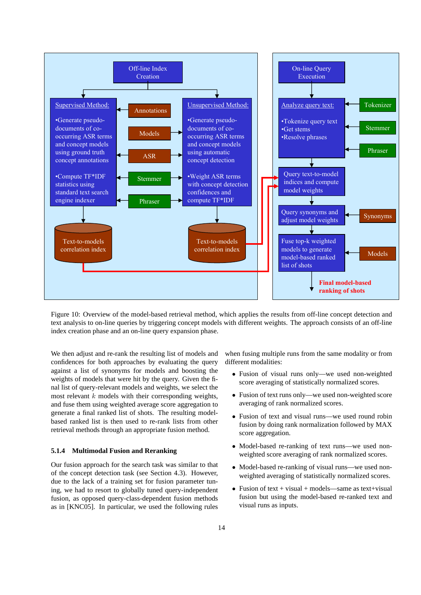

Figure 10: Overview of the model-based retrieval method, which applies the results from off-line concept detection and text analysis to on-line queries by triggering concept models with different weights. The approach consists of an off-line index creation phase and an on-line query expansion phase.

We then adjust and re-rank the resulting list of models and confidences for both approaches by evaluating the query against a list of synonyms for models and boosting the weights of models that were hit by the query. Given the final list of query-relevant models and weights, we select the most relevant  $k$  models with their corresponding weights, and fuse them using weighted average score aggregation to generate a final ranked list of shots. The resulting modelbased ranked list is then used to re-rank lists from other retrieval methods through an appropriate fusion method.

#### **5.1.4 Multimodal Fusion and Reranking**

Our fusion approach for the search task was similar to that of the concept detection task (see Section 4.3). However, due to the lack of a training set for fusion parameter tuning, we had to resort to globally tuned query-independent fusion, as opposed query-class-dependent fusion methods as in [KNC05]. In particular, we used the following rules when fusing multiple runs from the same modality or from different modalities:

- Fusion of visual runs only—we used non-weighted score averaging of statistically normalized scores.
- Fusion of text runs only—we used non-weighted score averaging of rank normalized scores.
- Fusion of text and visual runs—we used round robin fusion by doing rank normalization followed by MAX score aggregation.
- Model-based re-ranking of text runs—we used nonweighted score averaging of rank normalized scores.
- Model-based re-ranking of visual runs—we used nonweighted averaging of statistically normalized scores.
- Fusion of text + visual + models—same as text+visual fusion but using the model-based re-ranked text and visual runs as inputs.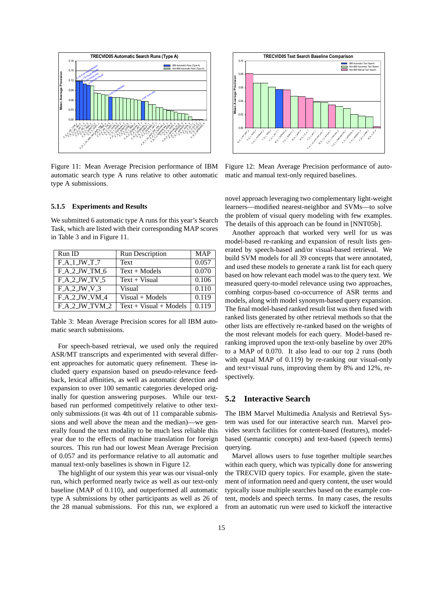

Figure 11: Mean Average Precision performance of IBM automatic search type A runs relative to other automatic type A submissions.

#### **5.1.5 Experiments and Results**

We submitted 6 automatic type A runs for this year's Search Task, which are listed with their corresponding MAP scores in Table 3 and in Figure 11.

| Run ID           | Run Description          | <b>MAP</b> |
|------------------|--------------------------|------------|
| $F_A_1_$ JW_T_7  | Text                     | 0.057      |
| $F_A_2_JW_TM_6$  | $Text + Models$          | 0.070      |
| $F_A_2_JW_TV_5$  | $Text + Visual$          | 0.106      |
| F.A.2JW.V.3      | Visual                   | 0.110      |
| F A 2 JW VM 4    | $Visual + Models$        | 0.119      |
| $F_A_2_JW_TVM_2$ | $Text + Visual + Models$ | 0.119      |

Table 3: Mean Average Precision scores for all IBM automatic search submissions.

For speech-based retrieval, we used only the required ASR/MT transcripts and experimented with several different approaches for automatic query refinement. These included query expansion based on pseudo-relevance feedback, lexical affinities, as well as automatic detection and expansion to over 100 semantic categories developed originally for question answering purposes. While our textbased run performed competitively relative to other textonly submissions (it was 4th out of 11 comparable submissions and well above the mean and the median)—we generally found the text modality to be much less reliable this year due to the effects of machine translation for foreign sources. This run had our lowest Mean Average Precision of 0.057 and its performance relative to all automatic and manual text-only baselines is shown in Figure 12.

The highlight of our system this year was our visual-only run, which performed nearly twice as well as our text-only baseline (MAP of 0.110), and outperformed all automatic type A submissions by other participants as well as 26 of the 28 manual submissions. For this run, we explored a



Figure 12: Mean Average Precision performance of automatic and manual text-only required baselines.

novel approach leveraging two complementary light-weight learners—modified nearest-neighbor and SVMs—to solve the problem of visual query modeling with few examples. The details of this approach can be found in [NNT05b].

combing corpus-based co-occurrence of ASR terms and Another approach that worked very well for us was model-based re-ranking and expansion of result lists generated by speech-based and/or visual-based retrieval. We build SVM models for all 39 concepts that were annotated, and used these models to generate a rank list for each query based on how relevant each model was to the query text. We measured query-to-model relevance using two approaches, models, along with model synonym-based query expansion. The final model-based ranked result list was then fused with ranked lists generated by other retrieval methods so that the other lists are effectively re-ranked based on the weights of the most relevant models for each query. Model-based reranking improved upon the text-only baseline by over 20% to a MAP of 0.070. It also lead to our top 2 runs (both with equal MAP of 0.119) by re-ranking our visual-only and text+visual runs, improving them by 8% and 12%, respectively.

## **5.2 Interactive Search**

The IBM Marvel Multimedia Analysis and Retrieval System was used for our interactive search run. Marvel provides search facilities for content-based (features), modelbased (semantic concepts) and text-based (speech terms) querying.

Marvel allows users to fuse together multiple searches within each query, which was typically done for answering the TRECVID query topics. For example, given the statement of information need and query content, the user would typically issue multiple searches based on the example content, models and speech terms. In many cases, the results from an automatic run were used to kickoff the interactive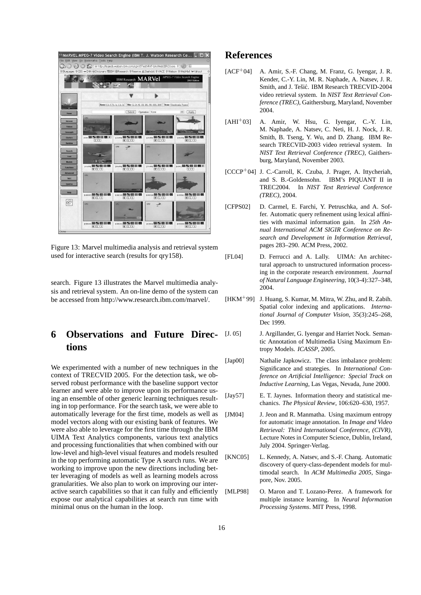

Figure 13: Marvel multimedia analysis and retrieval system used for interactive search (results for qry158).

search. Figure 13 illustrates the Marvel multimedia analysis and retrieval system. An on-line demo of the system can be accessed from http://www.research.ibm.com/marvel/.

# **6 Observations and Future Directions**

We experimented with a number of new techniques in the context of TRECVID 2005. For the detection task, we observed robust performance with the baseline support vector learner and were able to improve upon its performance using an ensemble of other generic learning techniques resulting in top performance. For the search task, we were able to automatically leverage for the first time, models as well as model vectors along with our existing bank of features. We were also able to leverage for the first time through the IBM UIMA Text Analytics components, various text analytics and processing functionalities that when combined with our low-level and high-level visual features and models resulted in the top performing automatic Type A search runs. We are working to improve upon the new directions including better leveraging of models as well as learning models across granularities. We also plan to work on improving our interactive search capabilities so that it can fully and efficiently expose our analytical capabilities at search run time with minimal onus on the human in the loop.

## **References**

- $[ACF<sup>+</sup>04]$  A. Amir, S.-F. Chang, M. Franz, G. Ivengar, J. R. Kender, C.-Y. Lin, M. R. Naphade, A. Natsev, J. R. Smith, and J. Tešić. IBM Research TRECVID-2004 video retrieval system. In *NIST Text Retrieval Conference (TREC)*, Gaithersburg, Maryland, November 2004.
- $[AHI<sup>+</sup>03]$  A. Amir, W. Hsu, G. Iyengar, C.-Y. Lin, M. Naphade, A. Natsev, C. Neti, H. J. Nock, J. R. Smith, B. Tseng, Y. Wu, and D. Zhang. IBM Research TRECVID-2003 video retrieval system. In *NIST Text Retrieval Conference (TREC)*, Gaithersburg, Maryland, November 2003.
- [CCCP<sup>+</sup>04] J. C.-Carroll, K. Czuba, J. Prager, A. Ittycheriah, and S. B.-Goldensohn. IBM's PIQUANT II in TREC2004. In *NIST Text Retrieval Conference (TREC)*, 2004.
- [CFPS02] D. Carmel, E. Farchi, Y. Petruschka, and A. Soffer. Automatic query refinement using lexical affinities with maximal information gain. In *25th Annual International ACM SIGIR Conference on Research and Development in Information Retrieval*, pages 283–290. ACM Press, 2002.
- [FL04] D. Ferrucci and A. Lally. UIMA: An architectural approach to unstructured information processing in the corporate research environment. *Journal of Natural Language Engineering*, 10(3-4):327–348, 2004.
- $[HKM<sup>+</sup>99]$  J. Huang, S. Kumar, M. Mitra, W. Zhu, and R. Zabih. Spatial color indexing and applications. *International Journal of Computer Vision*, 35(3):245–268, Dec 1999.
- [J. 05] J. Argillander, G. Iyengar and Harriet Nock. Semantic Annotation of Multimedia Using Maximum Entropy Models. *ICASSP*, 2005.
- [Jap00] Nathalie Japkowicz. The class imbalance problem: Significance and strategies. In *International Conference on Artificial Intelligence: Special Track on Inductive Learning*, Las Vegas, Nevada, June 2000.
- [Jay57] E. T. Jaynes. Information theory and statistical mechanics. *The Physical Review*, 106:620–630, 1957.
- [JM04] J. Jeon and R. Manmatha. Using maximum entropy for automatic image annotation. In *Image and Video Retrieval: Third International Conference, (CIVR)*, Lecture Notes in Computer Science, Dublin, Ireland, July 2004. Springer-Verlag.
- [KNC05] L. Kennedy, A. Natsev, and S.-F. Chang. Automatic discovery of query-class-dependent models for multimodal search. In *ACM Multimedia 2005*, Singapore, Nov. 2005.
- [MLP98] O. Maron and T. Lozano-Perez. A framework for multiple instance learning. In *Neural Information Processing Systems*. MIT Press, 1998.